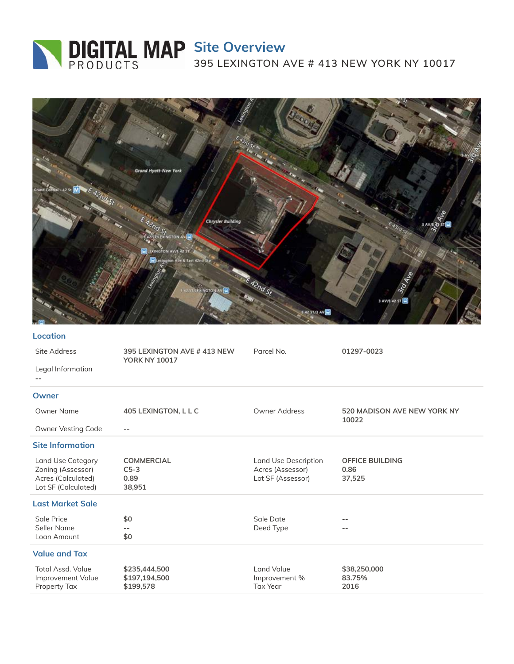# **Site Overview**

**395 LEXINGTON AVE # 413 NEW YORK NY 10017**



### **Location**

| Site Address<br>Legal Information                                                          | 395 LEXINGTON AVE #413 NEW<br><b>YORK NY 10017</b> | Parcel No.                                                    | 01297-0023                               |
|--------------------------------------------------------------------------------------------|----------------------------------------------------|---------------------------------------------------------------|------------------------------------------|
| Owner                                                                                      |                                                    |                                                               |                                          |
| Owner Name<br>Owner Vesting Code                                                           | 405 LEXINGTON, L L C<br>$- -$                      | Owner Address                                                 | 520 MADISON AVE NEW YORK NY<br>10022     |
| <b>Site Information</b>                                                                    |                                                    |                                                               |                                          |
| <b>Land Use Category</b><br>Zoning (Assessor)<br>Acres (Calculated)<br>Lot SF (Calculated) | <b>COMMERCIAL</b><br>$C5-3$<br>0.89<br>38,951      | Land Use Description<br>Acres (Assessor)<br>Lot SF (Assessor) | <b>OFFICE BUILDING</b><br>0.86<br>37,525 |
| <b>Last Market Sale</b>                                                                    |                                                    |                                                               |                                          |
| Sale Price<br>Seller Name<br>Loan Amount                                                   | \$0<br>\$0                                         | Sale Date<br>Deed Type                                        | --                                       |
| <b>Value and Tax</b>                                                                       |                                                    |                                                               |                                          |
| <b>Total Assd. Value</b><br>Improvement Value<br>Property Tax                              | \$235,444,500<br>\$197,194,500<br>\$199,578        | Land Value<br>Improvement %<br><b>Tax Year</b>                | \$38,250,000<br>83.75%<br>2016           |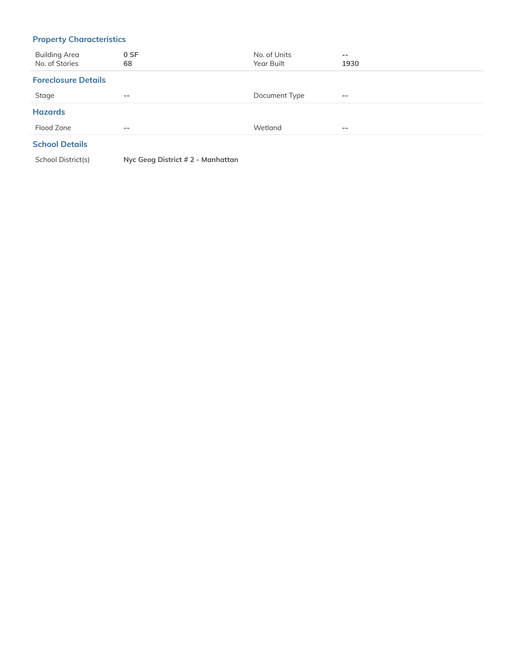# **Property Characteristics**

| <b>Building Area</b><br>No. of Stories | 0 SF<br>68 | No. of Units<br>Year Built | $\overline{\phantom{m}}$<br>1930 |
|----------------------------------------|------------|----------------------------|----------------------------------|
| <b>Foreclosure Details</b>             |            |                            |                                  |
| Stage                                  | $- -$      | Document Type              | $- -$                            |
| <b>Hazards</b>                         |            |                            |                                  |
| Flood Zone                             | $- -$      | Wetland                    | $- -$                            |
|                                        |            |                            |                                  |

### **School Details**

School District(s) **Nyc Geog District # 2 - Manhattan**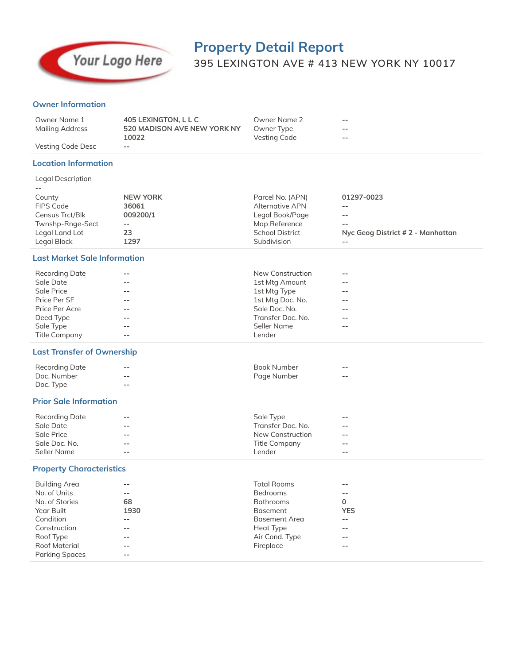

# **Property Detail Report 395 LEXINGTON AVE # 413 NEW YORK NY 10017**

### **Owner Information**

| Owner Name 1      | 405 LEXINGTON, L L C        | Owner Name 2 | $- -$ |
|-------------------|-----------------------------|--------------|-------|
| Mailing Address   | 520 MADISON AVE NEW YORK NY | Owner Type   | $- -$ |
|                   | 10022                       | Vesting Code | $- -$ |
| Vesting Code Desc | $\overline{\phantom{a}}$    |              |       |

### **Location Information**

| Legal Description |                 |                        |                                   |
|-------------------|-----------------|------------------------|-----------------------------------|
|                   |                 |                        |                                   |
| County            | <b>NEW YORK</b> | Parcel No. (APN)       | 01297-0023                        |
| FIPS Code         | 36061           | Alternative APN        |                                   |
| Census Trct/Blk   | 009200/1        | Legal Book/Page        | $- -$                             |
| Twnshp-Rnge-Sect  | $- -$           | Map Reference          | $- -$                             |
| Legal Land Lot    | 23              | <b>School District</b> | Nyc Geog District # 2 - Manhattan |
| Legal Block       | 1297            | Subdivision            |                                   |

### **Last Market Sale Information**

| Recording Date       | $- -$ | New Construction  | $- -$ |
|----------------------|-------|-------------------|-------|
| Sale Date            | $- -$ | 1st Mtg Amount    | $- -$ |
| Sale Price           | $- -$ | 1st Mtg Type      | $- -$ |
| Price Per SF         | $- -$ | 1st Mtg Doc. No.  | $- -$ |
| Price Per Acre       | $- -$ | Sale Doc. No.     | $- -$ |
| Deed Type            | $- -$ | Transfer Doc. No. | $- -$ |
| Sale Type            | $- -$ | Seller Name       | $- -$ |
| <b>Title Company</b> | $- -$ | Lender            |       |

### **Last Transfer of Ownership**

| Recording Date | $- -$                    | Book Number | $- -$ |
|----------------|--------------------------|-------------|-------|
| Doc. Number    | $\overline{\phantom{m}}$ | Page Number | $- -$ |
| Doc. Type      | $- -$                    |             |       |

### **Prior Sale Information**

| Recording Date | $- -$                    | Sale Type         | $- -$ |  |
|----------------|--------------------------|-------------------|-------|--|
| Sale Date      | $- -$                    | Transfer Doc. No. | $- -$ |  |
| Sale Price     | $\overline{\phantom{m}}$ | New Construction  | $- -$ |  |
| Sale Doc. No.  | $- -$                    | Title Company     | $- -$ |  |
| Seller Name    | $- -$                    | Lender            | $- -$ |  |

### **Property Characteristics**

| <b>Building Area</b>  | $- -$ | <b>Total Rooms</b>   | $- -$      |
|-----------------------|-------|----------------------|------------|
| No. of Units          | $- -$ | <b>Bedrooms</b>      | --         |
| No. of Stories        | 68    | <b>Bathrooms</b>     | 0          |
| Year Built            | 1930  | <b>Basement</b>      | <b>YES</b> |
| Condition             | $- -$ | <b>Basement Area</b> | $- -$      |
| Construction          | $- -$ | Heat Type            | $- -$      |
| Roof Type             | $ -$  | Air Cond. Type       | $- -$      |
| <b>Roof Material</b>  | $- -$ | Fireplace            | $- -$      |
| <b>Parking Spaces</b> | $- -$ |                      |            |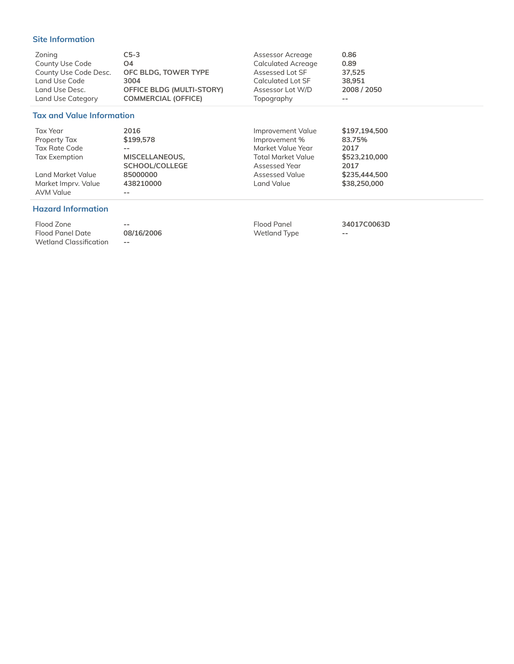### **Site Information**

| Zoning                           | $C5-3$                           | Assessor Acreage          | 0.86          |
|----------------------------------|----------------------------------|---------------------------|---------------|
| County Use Code                  | O <sub>4</sub>                   | <b>Calculated Acreage</b> | 0.89          |
| County Use Code Desc.            | OFC BLDG, TOWER TYPE             | Assessed Lot SF           | 37.525        |
| Land Use Code                    | 3004                             | Calculated Lot SF         | 38,951        |
| Land Use Desc.                   | <b>OFFICE BLDG (MULTI-STORY)</b> | Assessor Lot W/D          | 2008 / 2050   |
| Land Use Category                | <b>COMMERCIAL (OFFICE)</b>       | Topography                | --            |
| <b>Tax and Value Information</b> |                                  |                           |               |
| Tax Year                         | 2016                             | Improvement Value         | \$197,194,500 |
| Property Tax                     | \$199,578                        | Improvement %             | 83.75%        |
| <b>Tax Rate Code</b>             | $- -$                            | Market Value Year         | 2017          |
| Tax Exemption                    | MISCELLANEOUS.                   | Total Market Value        | \$523,210,000 |

AVM Value **--**

# **SCHOOL/COLLEGE** Land Market Value **85000000 Assessed Value** \$235,444,500 **Assessed Value** \$38,250,000 Market Imprv. Value 438210000 Market Imprv. Value  $438210000$  Land Value

Assessed Year **2017**<br>Assessed Value \$235,444,500

### **Hazard Information**

Flood Zone **--** Flood Panel **34017C0063D** Flood Panel Date **08/16/2006** Wetland Type **-- Wetland Classification** --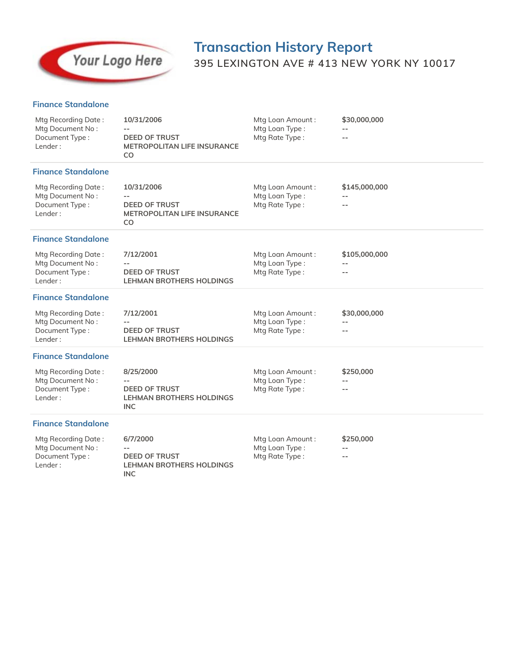

# **Transaction History Report 395 LEXINGTON AVE # 413 NEW YORK NY 10017**

### **Finance Standalone**

| Mtg Recording Date:<br>Mtg Document No:<br>Document Type:<br>Lender: | 10/31/2006<br><b>DEED OF TRUST</b><br>METROPOLITAN LIFE INSURANCE<br>CO            | Mtg Loan Amount:<br>Mtg Loan Type:<br>Mtg Rate Type: | \$30,000,000          |
|----------------------------------------------------------------------|------------------------------------------------------------------------------------|------------------------------------------------------|-----------------------|
| <b>Finance Standalone</b>                                            |                                                                                    |                                                      |                       |
| Mtg Recording Date:<br>Mtg Document No:<br>Document Type:<br>Lender: | 10/31/2006<br><b>DEED OF TRUST</b><br>METROPOLITAN LIFE INSURANCE<br>CO            | Mtg Loan Amount:<br>Mtg Loan Type:<br>Mtg Rate Type: | \$145,000,000<br>$-$  |
| <b>Finance Standalone</b>                                            |                                                                                    |                                                      |                       |
| Mtg Recording Date:<br>Mtg Document No:<br>Document Type:<br>Lender: | 7/12/2001<br><b>DEED OF TRUST</b><br><b>LEHMAN BROTHERS HOLDINGS</b>               | Mtg Loan Amount:<br>Mtg Loan Type:<br>Mtg Rate Type: | \$105,000,000<br>$ -$ |
| <b>Finance Standalone</b>                                            |                                                                                    |                                                      |                       |
| Mtg Recording Date:<br>Mtg Document No:<br>Document Type:<br>Lender: | 7/12/2001<br><b>DEED OF TRUST</b><br><b>LEHMAN BROTHERS HOLDINGS</b>               | Mtg Loan Amount:<br>Mtg Loan Type:<br>Mtg Rate Type: | \$30,000,000          |
| <b>Finance Standalone</b>                                            |                                                                                    |                                                      |                       |
| Mtg Recording Date:<br>Mtg Document No:<br>Document Type:<br>Lender: | 8/25/2000<br><b>DEED OF TRUST</b><br><b>LEHMAN BROTHERS HOLDINGS</b><br><b>INC</b> | Mtg Loan Amount:<br>Mtg Loan Type:<br>Mtg Rate Type: | \$250,000             |
| <b>Finance Standalone</b>                                            |                                                                                    |                                                      |                       |
| Mtg Recording Date:<br>Mtg Document No:<br>Document Type:<br>Lender: | 6/7/2000<br><b>DEED OF TRUST</b><br><b>LEHMAN BROTHERS HOLDINGS</b><br><b>INC</b>  | Mtg Loan Amount:<br>Mtg Loan Type:<br>Mtg Rate Type: | \$250,000<br>$- -$    |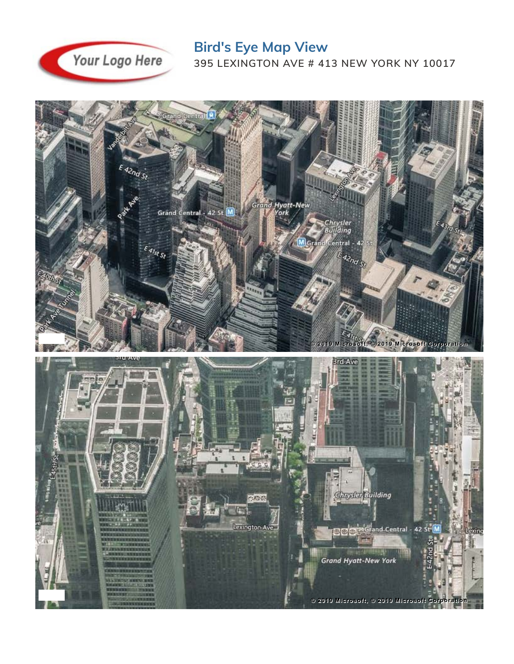

**Bird's Eye Map View 395 LEXINGTON AVE # 413 NEW YORK NY 10017**

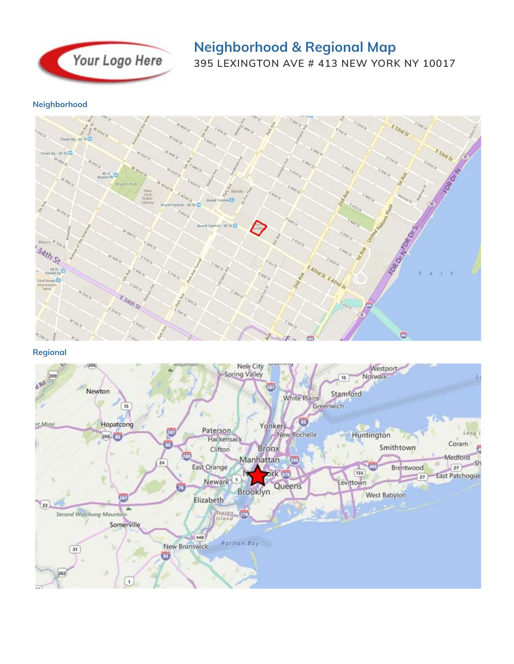

# **Neighborhood & Regional Map 395 LEXINGTON AVE # 413 NEW YORK NY 10017**

**Neighborhood**



## **Regional**

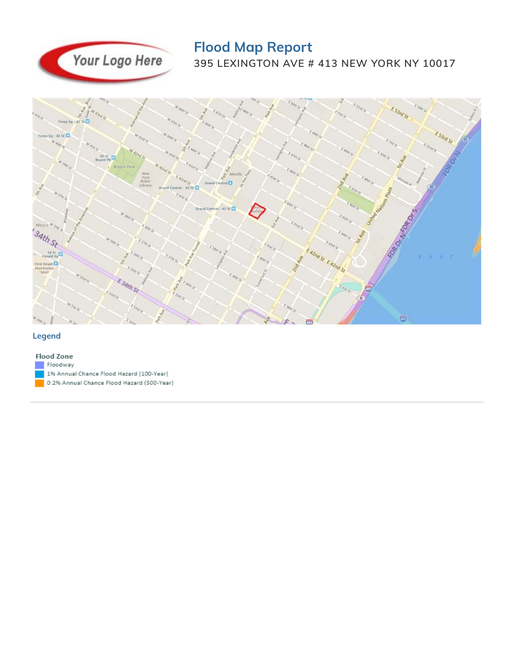

# **Flood Map Report 395 LEXINGTON AVE # 413 NEW YORK NY 10017**



### **Legend**

### **Flood Zone**

Floodway

- 1% Annual Chance Flood Hazard (100-Year)
- 0.2% Annual Chance Flood Hazard (500-Year)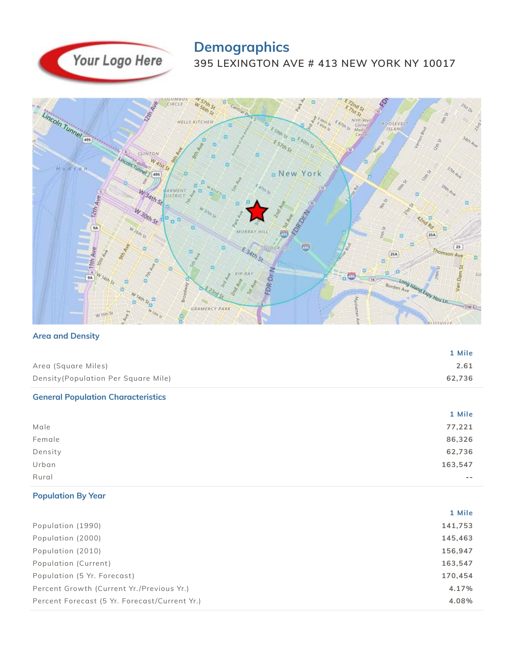

# **Demographics**

**395 LEXINGTON AVE # 413 NEW YORK NY 10017**



### **Area and Density**

|                                           | 1 Mile  |
|-------------------------------------------|---------|
| Area (Square Miles)                       | 2.61    |
| Density (Population Per Square Mile)      | 62,736  |
| <b>General Population Characteristics</b> |         |
|                                           | 1 Mile  |
| Male                                      | 77,221  |
| Female                                    | 86,326  |
| Density                                   | 62,736  |
| Urban                                     | 163,547 |
| Rural                                     |         |
|                                           |         |

# **Population By Year**

|                                               | 1 Mile  |
|-----------------------------------------------|---------|
| Population (1990)                             | 141,753 |
| Population (2000)                             | 145,463 |
| Population (2010)                             | 156,947 |
| Population (Current)                          | 163,547 |
| Population (5 Yr. Forecast)                   | 170.454 |
| Percent Growth (Current Yr./Previous Yr.)     | 4.17%   |
| Percent Forecast (5 Yr. Forecast/Current Yr.) | 4.08%   |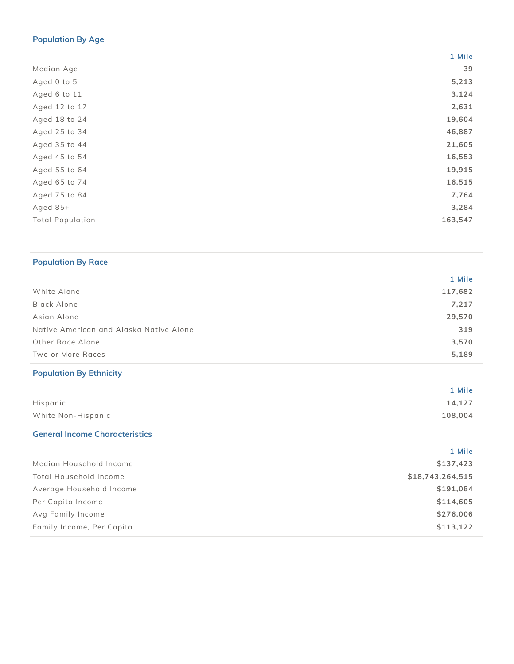# **Population By Age**

|                         | 1 Mile  |
|-------------------------|---------|
| Median Age              | 39      |
| Aged 0 to 5             | 5,213   |
| Aged 6 to 11            | 3,124   |
| Aged 12 to 17           | 2,631   |
| Aged 18 to 24           | 19,604  |
| Aged 25 to 34           | 46,887  |
| Aged 35 to 44           | 21,605  |
| Aged 45 to 54           | 16,553  |
| Aged 55 to 64           | 19,915  |
| Aged 65 to 74           | 16,515  |
| Aged 75 to 84           | 7,764   |
| Aged $85+$              | 3,284   |
| <b>Total Population</b> | 163,547 |
|                         |         |

## **Population By Race**

|                                         | 1 Mile  |
|-----------------------------------------|---------|
| White Alone                             | 117,682 |
| Black Alone                             | 7,217   |
| Asian Alone                             | 29,570  |
| Native American and Alaska Native Alone | 319     |
| Other Race Alone                        | 3,570   |
| Two or More Races                       | 5,189   |

# **Population By Ethnicity**

|                    | 1 Mile  |
|--------------------|---------|
| Hispanic           | 14,127  |
| White Non-Hispanic | 108,004 |

## **General Income Characteristics**

|                           | 1 Mile           |
|---------------------------|------------------|
| Median Household Income   | \$137,423        |
| Total Household Income    | \$18,743,264,515 |
| Average Household Income  | \$191,084        |
| Per Capita Income         | \$114,605        |
| Avg Family Income         | \$276,006        |
| Family Income, Per Capita | \$113,122        |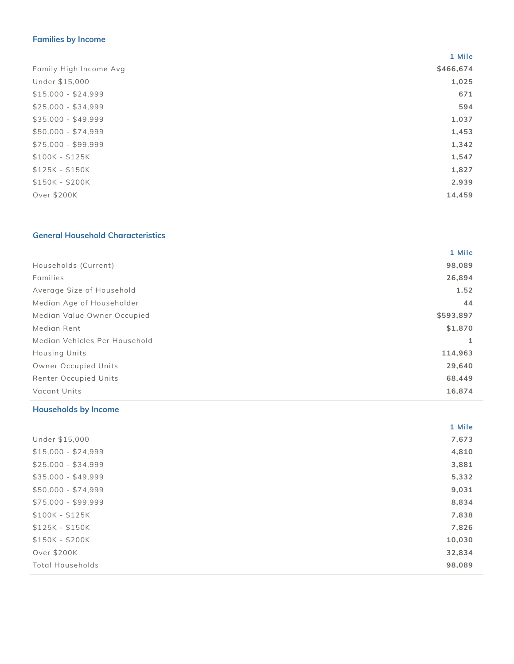# **Families by Income**

|                        | 1 Mile    |
|------------------------|-----------|
| Family High Income Avg | \$466,674 |
| Under \$15,000         | 1,025     |
| $$15,000 - $24,999$    | 671       |
| $$25,000 - $34,999$    | 594       |
| $$35,000 - $49,999$    | 1,037     |
| $$50,000 - $74,999$    | 1,453     |
| $$75,000 - $99,999$    | 1,342     |
| $$100K - $125K$        | 1,547     |
| $$125K - $150K$        | 1,827     |
| $$150K - $200K$        | 2,939     |
| Over \$200K            | 14,459    |

## **General Household Characteristics**

|                               | 1 Mile    |
|-------------------------------|-----------|
| Households (Current)          | 98,089    |
| Families                      | 26,894    |
| Average Size of Household     | 1.52      |
| Median Age of Householder     | 44        |
| Median Value Owner Occupied   | \$593,897 |
| Median Rent                   | \$1,870   |
| Median Vehicles Per Household |           |
| <b>Housing Units</b>          | 114,963   |
| Owner Occupied Units          | 29,640    |
| Renter Occupied Units         | 68,449    |
| Vacant Units                  | 16,874    |

# **Households by Income**

|                         | 1 Mile |
|-------------------------|--------|
| Under \$15,000          | 7,673  |
| $$15,000 - $24,999$     | 4,810  |
| $$25,000 - $34,999$     | 3,881  |
| $$35,000 - $49,999$     | 5,332  |
| $$50,000 - $74,999$     | 9,031  |
| $$75,000 - $99,999$     | 8,834  |
| $$100K - $125K$         | 7,838  |
| $$125K - $150K$         | 7,826  |
| $$150K - $200K$         | 10,030 |
| Over \$200K             | 32,834 |
| <b>Total Households</b> | 98,089 |
|                         |        |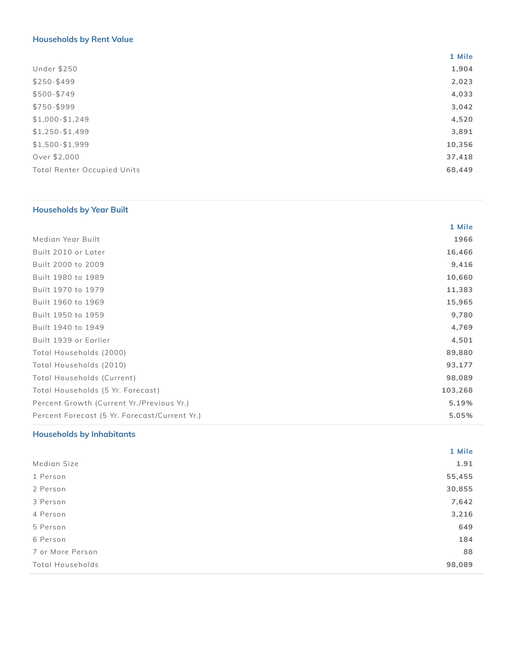# **Households by Rent Value**

|                                    | 1 Mile |
|------------------------------------|--------|
| <b>Under \$250</b>                 | 1,904  |
| $$250 - $499$                      | 2,023  |
| $$500 - $749$                      | 4,033  |
| \$750-\$999                        | 3,042  |
| $$1,000 - $1,249$                  | 4,520  |
| $$1,250 - $1,499$                  | 3,891  |
| $$1,500 - $1,999$                  | 10,356 |
| Over \$2,000                       | 37,418 |
| <b>Total Renter Occupied Units</b> | 68,449 |

# **Households by Year Built**

|                                               | 1 Mile  |
|-----------------------------------------------|---------|
| Median Year Built                             | 1966    |
| Built 2010 or Later                           | 16,466  |
| Built 2000 to 2009                            | 9,416   |
| Built 1980 to 1989                            | 10,660  |
| Built 1970 to 1979                            | 11,383  |
| Built 1960 to 1969                            | 15,965  |
| Built 1950 to 1959                            | 9,780   |
| Built 1940 to 1949                            | 4,769   |
| Built 1939 or Earlier                         | 4,501   |
| Total Households (2000)                       | 89,880  |
| Total Households (2010)                       | 93,177  |
| Total Households (Current)                    | 98,089  |
| Total Households (5 Yr. Forecast)             | 103,268 |
| Percent Growth (Current Yr./Previous Yr.)     | 5.19%   |
| Percent Forecast (5 Yr. Forecast/Current Yr.) | 5.05%   |
|                                               |         |

## **Households by Inhabitants**

|                         | 1 Mile |
|-------------------------|--------|
| Median Size             | 1.91   |
| 1 Person                | 55,455 |
| 2 Person                | 30,855 |
| 3 Person                | 7,642  |
| 4 Person                | 3,216  |
| 5 Person                | 649    |
| 6 Person                | 184    |
| 7 or More Person        | 88     |
| <b>Total Households</b> | 98,089 |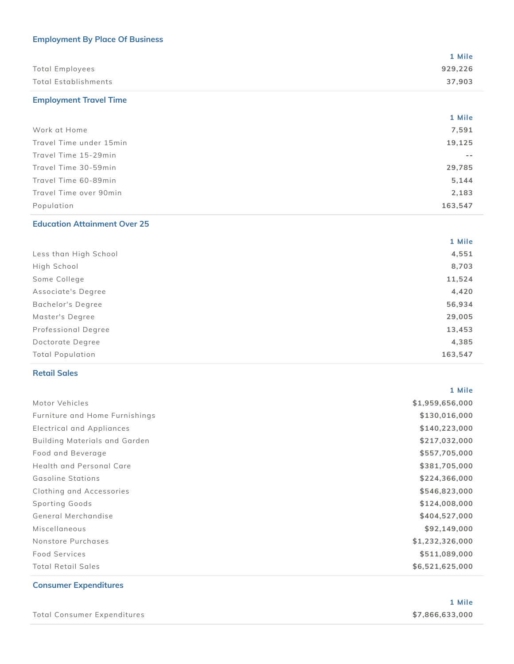# **Employment By Place Of Business**

|                      | 1 Mile  |
|----------------------|---------|
| Total Employees      | 929,226 |
| Total Establishments | 37.903  |

# **Employment Travel Time**

|                         | 1 Mile  |
|-------------------------|---------|
| Work at Home            | 7,591   |
| Travel Time under 15min | 19,125  |
| Travel Time 15-29min    |         |
| Travel Time 30-59min    | 29,785  |
| Travel Time 60-89min    | 5,144   |
| Travel Time over 90min  | 2,183   |
| Population              | 163,547 |

## **Education Attainment Over 25**

|                         | 1 Mile  |
|-------------------------|---------|
| Less than High School   | 4,551   |
| High School             | 8,703   |
| Some College            | 11,524  |
| Associate's Degree      | 4,420   |
| Bachelor's Degree       | 56,934  |
| Master's Degree         | 29,005  |
| Professional Degree     | 13,453  |
| Doctorate Degree        | 4,385   |
| <b>Total Population</b> | 163,547 |

### **Retail Sales**

|                                | 1 Mile          |
|--------------------------------|-----------------|
| Motor Vehicles                 | \$1,959,656,000 |
| Furniture and Home Furnishings | \$130,016,000   |
| Electrical and Appliances      | \$140,223,000   |
| Building Materials and Garden  | \$217,032,000   |
| Food and Beverage              | \$557,705,000   |
| Health and Personal Care       | \$381,705,000   |
| Gasoline Stations              | \$224,366,000   |
| Clothing and Accessories       | \$546,823,000   |
| Sporting Goods                 | \$124,008,000   |
| General Merchandise            | \$404,527,000   |
| Miscellaneous                  | \$92,149,000    |
| Nonstore Purchases             | \$1,232,326,000 |
| <b>Food Services</b>           | \$511,089,000   |
| <b>Total Retail Sales</b>      | \$6,521,625,000 |

## **Consumer Expenditures**

|                             | 1 Mile          |
|-----------------------------|-----------------|
| Total Consumer Expenditures | \$7,866,633,000 |